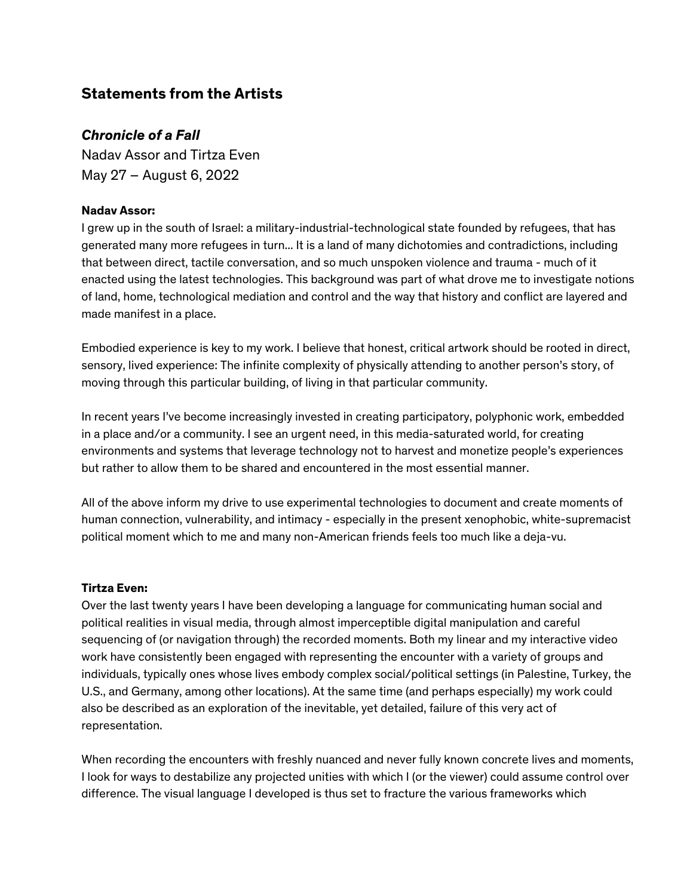## **Statements from the Artists**

## *Chronicle of a Fall*

Nadav Assor and Tirtza Even May 27 – August 6, 2022

## **Nadav Assor:**

I grew up in the south of Israel: a military-industrial-technological state founded by refugees, that has generated many more refugees in turn... It is a land of many dichotomies and contradictions, including that between direct, tactile conversation, and so much unspoken violence and trauma - much of it enacted using the latest technologies. This background was part of what drove me to investigate notions of land, home, technological mediation and control and the way that history and conflict are layered and made manifest in a place.

Embodied experience is key to my work. I believe that honest, critical artwork should be rooted in direct, sensory, lived experience: The infinite complexity of physically attending to another person's story, of moving through this particular building, of living in that particular community.

In recent years I've become increasingly invested in creating participatory, polyphonic work, embedded in a place and/or a community. I see an urgent need, in this media-saturated world, for creating environments and systems that leverage technology not to harvest and monetize people's experiences but rather to allow them to be shared and encountered in the most essential manner.

All of the above inform my drive to use experimental technologies to document and create moments of human connection, vulnerability, and intimacy - especially in the present xenophobic, white-supremacist political moment which to me and many non-American friends feels too much like a deja-vu.

## **Tirtza Even:**

Over the last twenty years I have been developing a language for communicating human social and political realities in visual media, through almost imperceptible digital manipulation and careful sequencing of (or navigation through) the recorded moments. Both my linear and my interactive video work have consistently been engaged with representing the encounter with a variety of groups and individuals, typically ones whose lives embody complex social/political settings (in Palestine, Turkey, the U.S., and Germany, among other locations). At the same time (and perhaps especially) my work could also be described as an exploration of the inevitable, yet detailed, failure of this very act of representation.

When recording the encounters with freshly nuanced and never fully known concrete lives and moments, I look for ways to destabilize any projected unities with which I (or the viewer) could assume control over difference. The visual language I developed is thus set to fracture the various frameworks which